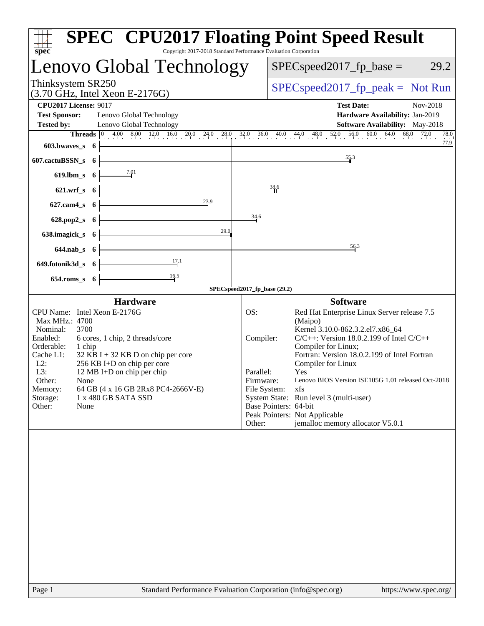| spec                                                                                                                                                                                                                                                                                                                                                                                                 | <b>SPEC<sup>®</sup> CPU2017 Floating Point Speed Result</b><br>Copyright 2017-2018 Standard Performance Evaluation Corporation                                                                                                                                                                                                                                                                                                                                                                                               |
|------------------------------------------------------------------------------------------------------------------------------------------------------------------------------------------------------------------------------------------------------------------------------------------------------------------------------------------------------------------------------------------------------|------------------------------------------------------------------------------------------------------------------------------------------------------------------------------------------------------------------------------------------------------------------------------------------------------------------------------------------------------------------------------------------------------------------------------------------------------------------------------------------------------------------------------|
| Lenovo Global Technology                                                                                                                                                                                                                                                                                                                                                                             | $SPEC speed2017_fp\_base =$<br>29.2                                                                                                                                                                                                                                                                                                                                                                                                                                                                                          |
| Thinksystem SR250<br>$(3.70 \text{ GHz}, \text{Intel Xeon E-2176G})$                                                                                                                                                                                                                                                                                                                                 | $SPEC speed2017fr peak = Not Run$                                                                                                                                                                                                                                                                                                                                                                                                                                                                                            |
| <b>CPU2017 License: 9017</b><br><b>Test Sponsor:</b><br>Lenovo Global Technology<br>Lenovo Global Technology<br><b>Tested by:</b><br>$603.bwaves$ 6                                                                                                                                                                                                                                                  | <b>Test Date:</b><br>Nov-2018<br>Hardware Availability: Jan-2019<br><b>Software Availability:</b> May-2018<br><b>Threads</b> $\begin{bmatrix} 0 & 4.00 & 8.00 & 12.0 & 16.0 & 20.0 & 24.0 & 28.0 & 32.0 & 36.0 & 40.0 & 44.0 & 48.0 & 52.0 & 56.0 & 60.0 & 64.0 & 68.0 & 72.0 \end{bmatrix}$<br>78.0<br>77.9                                                                                                                                                                                                                 |
| 607.cactuBSSN_s 6                                                                                                                                                                                                                                                                                                                                                                                    | 55.3                                                                                                                                                                                                                                                                                                                                                                                                                                                                                                                         |
| $\frac{7.01}{2}$<br>$619$ .lbm_s $6$                                                                                                                                                                                                                                                                                                                                                                 |                                                                                                                                                                                                                                                                                                                                                                                                                                                                                                                              |
| $621.wrf$ <sub>s</sub> 6                                                                                                                                                                                                                                                                                                                                                                             | 38.6                                                                                                                                                                                                                                                                                                                                                                                                                                                                                                                         |
| $627$ .cam $4_s$ 6<br><u> 1989 - Johann Barn, mars eta bainar eta idazlea (</u>                                                                                                                                                                                                                                                                                                                      | 34.6                                                                                                                                                                                                                                                                                                                                                                                                                                                                                                                         |
| $628.pop2_s$ 6<br>29.0<br><u> 1980 - Johann Barn, mars ann an t-Alban an t-Alban ann an t-Alban ann an t-Alban ann an t-Alban ann an t-Alba</u><br>$638.\text{imagek}_s$ 6                                                                                                                                                                                                                           |                                                                                                                                                                                                                                                                                                                                                                                                                                                                                                                              |
| $644$ .nab <sub>_s</sub> $6$                                                                                                                                                                                                                                                                                                                                                                         | 56.3                                                                                                                                                                                                                                                                                                                                                                                                                                                                                                                         |
| $\frac{17.1}{2}$<br>$649.600nik3d_s 6$                                                                                                                                                                                                                                                                                                                                                               |                                                                                                                                                                                                                                                                                                                                                                                                                                                                                                                              |
| $654$ .roms_s $6$                                                                                                                                                                                                                                                                                                                                                                                    |                                                                                                                                                                                                                                                                                                                                                                                                                                                                                                                              |
| <b>Hardware</b>                                                                                                                                                                                                                                                                                                                                                                                      | SPECspeed2017_fp_base (29.2)<br><b>Software</b>                                                                                                                                                                                                                                                                                                                                                                                                                                                                              |
| CPU Name: Intel Xeon E-2176G<br>Max MHz.: 4700<br>Nominal:<br>3700<br>Enabled:<br>6 cores, 1 chip, 2 threads/core<br>Orderable:<br>1 chip<br>Cache L1:<br>$32$ KB I + 32 KB D on chip per core<br>$L2$ :<br>256 KB I+D on chip per core<br>L3:<br>12 MB I+D on chip per chip<br>Other:<br>None<br>64 GB (4 x 16 GB 2Rx8 PC4-2666V-E)<br>Memory:<br>Storage:<br>1 x 480 GB SATA SSD<br>Other:<br>None | Red Hat Enterprise Linux Server release 7.5<br>OS:<br>(Maipo)<br>Kernel 3.10.0-862.3.2.el7.x86_64<br>$C/C++$ : Version 18.0.2.199 of Intel $C/C++$<br>Compiler:<br>Compiler for Linux;<br>Fortran: Version 18.0.2.199 of Intel Fortran<br>Compiler for Linux<br>Parallel:<br>Yes<br>Lenovo BIOS Version ISE105G 1.01 released Oct-2018<br>Firmware:<br>xfs<br>File System:<br>System State: Run level 3 (multi-user)<br>Base Pointers: 64-bit<br>Peak Pointers: Not Applicable<br>jemalloc memory allocator V5.0.1<br>Other: |
| $D_{0}$ on 1                                                                                                                                                                                                                                                                                                                                                                                         | Standard Darformange Evaluation Corporation (info@gnee.org)<br>http://www.                                                                                                                                                                                                                                                                                                                                                                                                                                                   |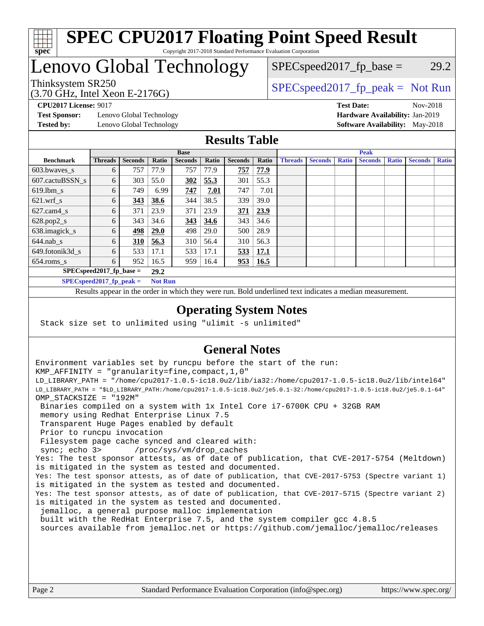

### **[SPEC CPU2017 Floating Point Speed Result](http://www.spec.org/auto/cpu2017/Docs/result-fields.html#SPECCPU2017FloatingPointSpeedResult)** Copyright 2017-2018 Standard Performance Evaluation Corporation

## Lenovo Global Technology

 $SPEC speed2017_fp\_base = 29.2$ 

#### (3.70 GHz, Intel Xeon E-2176G) Thinksystem SR250  $SPEC speed2017$  [p\_peak = Not Run

**[Test Sponsor:](http://www.spec.org/auto/cpu2017/Docs/result-fields.html#TestSponsor)** Lenovo Global Technology **[Hardware Availability:](http://www.spec.org/auto/cpu2017/Docs/result-fields.html#HardwareAvailability)** Jan-2019 **[Tested by:](http://www.spec.org/auto/cpu2017/Docs/result-fields.html#Testedby)** Lenovo Global Technology **[Software Availability:](http://www.spec.org/auto/cpu2017/Docs/result-fields.html#SoftwareAvailability)** May-2018

**[CPU2017 License:](http://www.spec.org/auto/cpu2017/Docs/result-fields.html#CPU2017License)** 9017 **[Test Date:](http://www.spec.org/auto/cpu2017/Docs/result-fields.html#TestDate)** Nov-2018

### **[Results Table](http://www.spec.org/auto/cpu2017/Docs/result-fields.html#ResultsTable)**

|                                    | <b>Base</b>    |                |                |                | <b>Peak</b> |                |             |                |                |              |                |              |                |              |
|------------------------------------|----------------|----------------|----------------|----------------|-------------|----------------|-------------|----------------|----------------|--------------|----------------|--------------|----------------|--------------|
| <b>Benchmark</b>                   | <b>Threads</b> | <b>Seconds</b> | Ratio          | <b>Seconds</b> | Ratio       | <b>Seconds</b> | Ratio       | <b>Threads</b> | <b>Seconds</b> | <b>Ratio</b> | <b>Seconds</b> | <b>Ratio</b> | <b>Seconds</b> | <b>Ratio</b> |
| 603.bwayes s                       | 6              | 757            | 77.9           | 757            | 77.9        | 757            | 77.9        |                |                |              |                |              |                |              |
| 607.cactuBSSN s                    | 6              | 303            | 55.0           | <b>302</b>     | 55.3        | 301            | 55.3        |                |                |              |                |              |                |              |
| $619.$ lbm s                       | 6              | 749            | 6.99           | 747            | 7.01        | 747            | 7.01        |                |                |              |                |              |                |              |
| $621.wrf$ s                        | 6              | 343            | 38.6           | 344            | 38.5        | 339            | 39.0        |                |                |              |                |              |                |              |
| $627$ .cam $4$ <sub>s</sub>        | 6              | 371            | 23.9           | 371            | 23.9        | 371            | 23.9        |                |                |              |                |              |                |              |
| $628.pop2_s$                       | 6              | 343            | 34.6           | 343            | 34.6        | 343            | 34.6        |                |                |              |                |              |                |              |
| 638.imagick_s                      | 6              | 498            | <b>29.0</b>    | 498            | 29.0        | 500            | 28.9        |                |                |              |                |              |                |              |
| $644$ .nab s                       | 6              | 310            | 56.3           | 310            | 56.4        | 310            | 56.3        |                |                |              |                |              |                |              |
| 649.fotonik3d s                    | 6              | 533            | 17.1           | 533            | 17.1        | <u>533</u>     | <u>17.1</u> |                |                |              |                |              |                |              |
| $654$ .roms s                      | 6              | 952            | 16.5           | 959            | 16.4        | 953            | <b>16.5</b> |                |                |              |                |              |                |              |
| $SPEC speed2017$ fp base =<br>29.2 |                |                |                |                |             |                |             |                |                |              |                |              |                |              |
| $SPECspeed2017_fp\_peak =$         |                |                | <b>Not Run</b> |                |             |                |             |                |                |              |                |              |                |              |

Results appear in the [order in which they were run.](http://www.spec.org/auto/cpu2017/Docs/result-fields.html#RunOrder) Bold underlined text [indicates a median measurement](http://www.spec.org/auto/cpu2017/Docs/result-fields.html#Median).

### **[Operating System Notes](http://www.spec.org/auto/cpu2017/Docs/result-fields.html#OperatingSystemNotes)**

Stack size set to unlimited using "ulimit -s unlimited"

### **[General Notes](http://www.spec.org/auto/cpu2017/Docs/result-fields.html#GeneralNotes)**

Environment variables set by runcpu before the start of the run: KMP\_AFFINITY = "granularity=fine,compact,1,0" LD\_LIBRARY\_PATH = "/home/cpu2017-1.0.5-ic18.0u2/lib/ia32:/home/cpu2017-1.0.5-ic18.0u2/lib/intel64" LD\_LIBRARY\_PATH = "\$LD\_LIBRARY\_PATH:/home/cpu2017-1.0.5-ic18.0u2/je5.0.1-32:/home/cpu2017-1.0.5-ic18.0u2/je5.0.1-64" OMP\_STACKSIZE = "192M" Binaries compiled on a system with 1x Intel Core i7-6700K CPU + 32GB RAM memory using Redhat Enterprise Linux 7.5 Transparent Huge Pages enabled by default Prior to runcpu invocation Filesystem page cache synced and cleared with: sync; echo 3> /proc/sys/vm/drop\_caches Yes: The test sponsor attests, as of date of publication, that CVE-2017-5754 (Meltdown) is mitigated in the system as tested and documented. Yes: The test sponsor attests, as of date of publication, that CVE-2017-5753 (Spectre variant 1) is mitigated in the system as tested and documented. Yes: The test sponsor attests, as of date of publication, that CVE-2017-5715 (Spectre variant 2) is mitigated in the system as tested and documented. jemalloc, a general purpose malloc implementation built with the RedHat Enterprise 7.5, and the system compiler gcc 4.8.5 sources available from jemalloc.net or <https://github.com/jemalloc/jemalloc/releases>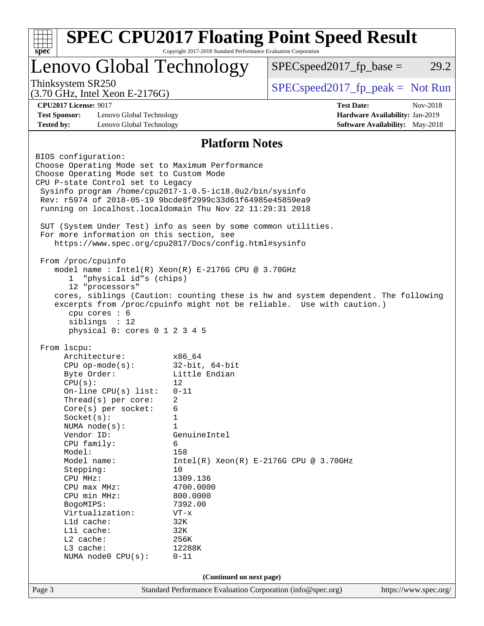| Lenovo Global Technology                                                                                              |                          | $SPEC speed2017_fp\_base =$                                                        | 29.2     |
|-----------------------------------------------------------------------------------------------------------------------|--------------------------|------------------------------------------------------------------------------------|----------|
| Thinksystem SR250<br>$(3.70 \text{ GHz}, \text{Intel Xeon E-2176G})$                                                  |                          | $SPEC speed2017_fp\_peak = Not Run$                                                |          |
| <b>CPU2017 License: 9017</b>                                                                                          |                          | <b>Test Date:</b>                                                                  | Nov-2018 |
| <b>Test Sponsor:</b><br>Lenovo Global Technology                                                                      |                          | Hardware Availability: Jan-2019                                                    |          |
| <b>Tested by:</b><br>Lenovo Global Technology                                                                         |                          | <b>Software Availability:</b> May-2018                                             |          |
|                                                                                                                       | <b>Platform Notes</b>    |                                                                                    |          |
| BIOS configuration:                                                                                                   |                          |                                                                                    |          |
| Choose Operating Mode set to Maximum Performance                                                                      |                          |                                                                                    |          |
| Choose Operating Mode set to Custom Mode                                                                              |                          |                                                                                    |          |
| CPU P-state Control set to Legacy                                                                                     |                          |                                                                                    |          |
| Sysinfo program /home/cpu2017-1.0.5-ic18.0u2/bin/sysinfo<br>Rev: r5974 of 2018-05-19 9bcde8f2999c33d61f64985e45859ea9 |                          |                                                                                    |          |
| running on localhost.localdomain Thu Nov 22 11:29:31 2018                                                             |                          |                                                                                    |          |
|                                                                                                                       |                          |                                                                                    |          |
| SUT (System Under Test) info as seen by some common utilities.                                                        |                          |                                                                                    |          |
| For more information on this section, see                                                                             |                          |                                                                                    |          |
| https://www.spec.org/cpu2017/Docs/config.html#sysinfo                                                                 |                          |                                                                                    |          |
| From /proc/cpuinfo                                                                                                    |                          |                                                                                    |          |
| model name : Intel(R) Xeon(R) $E-2176G$ CPU @ 3.70GHz                                                                 |                          |                                                                                    |          |
| "physical id"s (chips)<br>1                                                                                           |                          |                                                                                    |          |
| 12 "processors"                                                                                                       |                          |                                                                                    |          |
|                                                                                                                       |                          | cores, siblings (Caution: counting these is hw and system dependent. The following |          |
| cpu cores : 6                                                                                                         |                          | excerpts from /proc/cpuinfo might not be reliable. Use with caution.)              |          |
| siblings : 12                                                                                                         |                          |                                                                                    |          |
| physical 0: cores 0 1 2 3 4 5                                                                                         |                          |                                                                                    |          |
|                                                                                                                       |                          |                                                                                    |          |
| From 1scpu:<br>Architecture:                                                                                          | x86_64                   |                                                                                    |          |
| $CPU$ op-mode( $s$ ):                                                                                                 | $32$ -bit, $64$ -bit     |                                                                                    |          |
| Byte Order:                                                                                                           | Little Endian            |                                                                                    |          |
| CPU(s):                                                                                                               | 12                       |                                                                                    |          |
| On-line CPU(s) list:                                                                                                  | $0 - 11$                 |                                                                                    |          |
| Thread( $s$ ) per core:                                                                                               | 2                        |                                                                                    |          |
| Core(s) per socket:                                                                                                   | 6                        |                                                                                    |          |
| Socket(s):                                                                                                            | 1<br>$\mathbf{1}$        |                                                                                    |          |
| NUMA node(s):<br>Vendor ID:                                                                                           | GenuineIntel             |                                                                                    |          |
| CPU family:                                                                                                           | 6                        |                                                                                    |          |
| Model:                                                                                                                | 158                      |                                                                                    |          |
| Model name:                                                                                                           |                          | $Intel(R) Xeon(R) E-2176G CPU @ 3.70GHz$                                           |          |
|                                                                                                                       |                          |                                                                                    |          |
| Stepping:                                                                                                             | 10                       |                                                                                    |          |
| CPU MHz:                                                                                                              | 1309.136                 |                                                                                    |          |
| CPU max MHz:                                                                                                          | 4700.0000                |                                                                                    |          |
| CPU min MHz:                                                                                                          | 800.0000                 |                                                                                    |          |
| BogoMIPS:                                                                                                             | 7392.00<br>$VT - x$      |                                                                                    |          |
| Virtualization:<br>L1d cache:                                                                                         | 32K                      |                                                                                    |          |
| Lli cache:                                                                                                            | 32K                      |                                                                                    |          |
| L2 cache:                                                                                                             | 256K                     |                                                                                    |          |
| L3 cache:                                                                                                             | 12288K                   |                                                                                    |          |
| NUMA node0 CPU(s):                                                                                                    | $0 - 11$                 |                                                                                    |          |
|                                                                                                                       | (Continued on next page) |                                                                                    |          |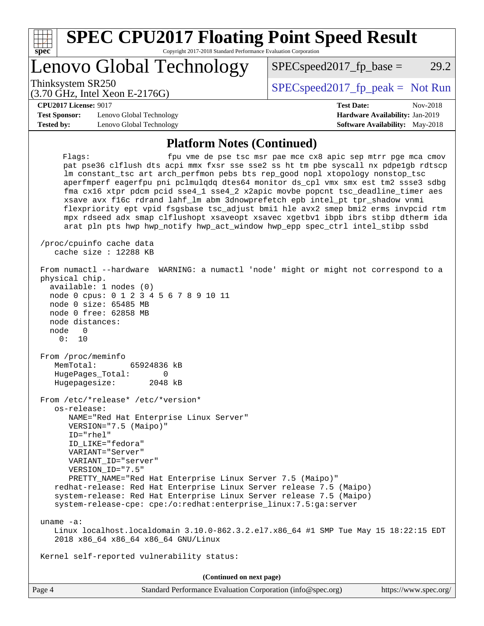| <b>SPEC CPU2017 Floating Point Speed Result</b><br>Copyright 2017-2018 Standard Performance Evaluation Corporation<br>spec <sup>®</sup>                                                                                                                                                                                                                                                                                                                                                                                                                                                                                                                                                                                                                                                                                                |                                                                                                            |  |  |  |  |
|----------------------------------------------------------------------------------------------------------------------------------------------------------------------------------------------------------------------------------------------------------------------------------------------------------------------------------------------------------------------------------------------------------------------------------------------------------------------------------------------------------------------------------------------------------------------------------------------------------------------------------------------------------------------------------------------------------------------------------------------------------------------------------------------------------------------------------------|------------------------------------------------------------------------------------------------------------|--|--|--|--|
| Lenovo Global Technology                                                                                                                                                                                                                                                                                                                                                                                                                                                                                                                                                                                                                                                                                                                                                                                                               | 29.2<br>$SPEC speed2017fp base =$                                                                          |  |  |  |  |
| Thinksystem SR250<br>$(3.70 \text{ GHz}, \text{Intel Xeon E-2176G})$                                                                                                                                                                                                                                                                                                                                                                                                                                                                                                                                                                                                                                                                                                                                                                   | $SPEC speed2017fr peak = Not Run$                                                                          |  |  |  |  |
| <b>CPU2017 License: 9017</b><br><b>Test Sponsor:</b><br>Lenovo Global Technology<br><b>Tested by:</b><br>Lenovo Global Technology                                                                                                                                                                                                                                                                                                                                                                                                                                                                                                                                                                                                                                                                                                      | <b>Test Date:</b><br>Nov-2018<br>Hardware Availability: Jan-2019<br><b>Software Availability:</b> May-2018 |  |  |  |  |
| <b>Platform Notes (Continued)</b><br>Flaqs:<br>fpu vme de pse tsc msr pae mce cx8 apic sep mtrr pge mca cmov<br>pat pse36 clflush dts acpi mmx fxsr sse sse2 ss ht tm pbe syscall nx pdpelgb rdtscp<br>Im constant tsc art arch perfmon pebs bts rep good nopl xtopology nonstop tsc<br>aperfmperf eagerfpu pni pclmulqdq dtes64 monitor ds_cpl vmx smx est tm2 ssse3 sdbg<br>fma cx16 xtpr pdcm pcid sse4_1 sse4_2 x2apic movbe popcnt tsc_deadline_timer aes<br>xsave avx f16c rdrand lahf_lm abm 3dnowprefetch epb intel_pt tpr_shadow vnmi<br>flexpriority ept vpid fsgsbase tsc_adjust bmil hle avx2 smep bmi2 erms invpcid rtm<br>mpx rdseed adx smap clflushopt xsaveopt xsavec xgetbvl ibpb ibrs stibp dtherm ida<br>arat pln pts hwp hwp_notify hwp_act_window hwp_epp spec_ctrl intel_stibp ssbd<br>/proc/cpuinfo cache data |                                                                                                            |  |  |  |  |
| cache size : 12288 KB<br>From numactl --hardware WARNING: a numactl 'node' might or might not correspond to a<br>physical chip.<br>available: 1 nodes (0)<br>node 0 cpus: 0 1 2 3 4 5 6 7 8 9 10 11                                                                                                                                                                                                                                                                                                                                                                                                                                                                                                                                                                                                                                    |                                                                                                            |  |  |  |  |

 node 0 size: 65485 MB node 0 free: 62858 MB node distances:

node 0

 0: 10 From /proc/meminfo MemTotal: 65924836 kB HugePages\_Total: 0

Hugepagesize: 2048 kB

 From /etc/\*release\* /etc/\*version\* os-release: NAME="Red Hat Enterprise Linux Server" VERSION="7.5 (Maipo)" ID="rhel" ID\_LIKE="fedora" VARIANT="Server" VARIANT\_ID="server" VERSION\_ID="7.5" PRETTY\_NAME="Red Hat Enterprise Linux Server 7.5 (Maipo)" redhat-release: Red Hat Enterprise Linux Server release 7.5 (Maipo) system-release: Red Hat Enterprise Linux Server release 7.5 (Maipo) system-release-cpe: cpe:/o:redhat:enterprise\_linux:7.5:ga:server

uname -a:

 Linux localhost.localdomain 3.10.0-862.3.2.el7.x86\_64 #1 SMP Tue May 15 18:22:15 EDT 2018 x86\_64 x86\_64 x86\_64 GNU/Linux

Kernel self-reported vulnerability status:

**(Continued on next page)**

| Page 4 | Standard Performance Evaluation Corporation (info@spec.org) | https://www.spec.org/ |
|--------|-------------------------------------------------------------|-----------------------|
|--------|-------------------------------------------------------------|-----------------------|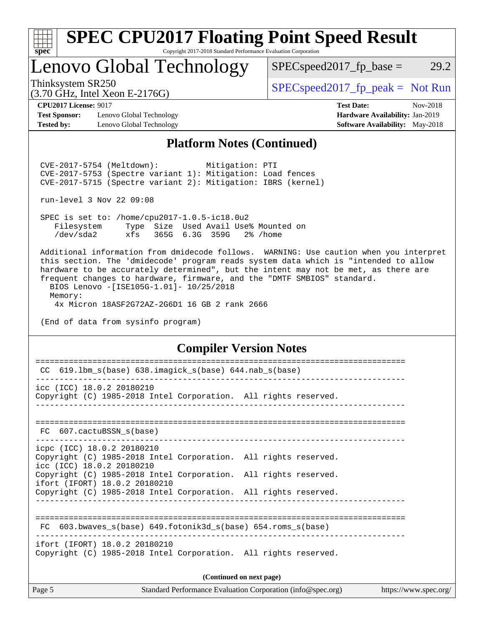| v.<br>t.<br>IJ |  |  |  |  |  |
|----------------|--|--|--|--|--|

### **[SPEC CPU2017 Floating Point Speed Result](http://www.spec.org/auto/cpu2017/Docs/result-fields.html#SPECCPU2017FloatingPointSpeedResult)** Copyright 2017-2018 Standard Performance Evaluation Corporation

Lenovo Global Technology

 $SPEC speed2017_fp\_base = 29.2$ 

(3.70 GHz, Intel Xeon E-2176G)

Thinksystem SR250  $SPEC speed2017_f p_peak = Not Run$ 

**[Test Sponsor:](http://www.spec.org/auto/cpu2017/Docs/result-fields.html#TestSponsor)** Lenovo Global Technology **[Hardware Availability:](http://www.spec.org/auto/cpu2017/Docs/result-fields.html#HardwareAvailability)** Jan-2019 **[Tested by:](http://www.spec.org/auto/cpu2017/Docs/result-fields.html#Testedby)** Lenovo Global Technology **[Software Availability:](http://www.spec.org/auto/cpu2017/Docs/result-fields.html#SoftwareAvailability)** May-2018

**[CPU2017 License:](http://www.spec.org/auto/cpu2017/Docs/result-fields.html#CPU2017License)** 9017 **[Test Date:](http://www.spec.org/auto/cpu2017/Docs/result-fields.html#TestDate)** Nov-2018

### **[Platform Notes \(Continued\)](http://www.spec.org/auto/cpu2017/Docs/result-fields.html#PlatformNotes)**

 CVE-2017-5754 (Meltdown): Mitigation: PTI CVE-2017-5753 (Spectre variant 1): Mitigation: Load fences CVE-2017-5715 (Spectre variant 2): Mitigation: IBRS (kernel)

run-level 3 Nov 22 09:08

 SPEC is set to: /home/cpu2017-1.0.5-ic18.0u2 Filesystem Type Size Used Avail Use% Mounted on /dev/sda2 xfs 365G 6.3G 359G 2% /home

 Additional information from dmidecode follows. WARNING: Use caution when you interpret this section. The 'dmidecode' program reads system data which is "intended to allow hardware to be accurately determined", but the intent may not be met, as there are frequent changes to hardware, firmware, and the "DMTF SMBIOS" standard. BIOS Lenovo -[ISE105G-1.01]- 10/25/2018

 Memory: 4x Micron 18ASF2G72AZ-2G6D1 16 GB 2 rank 2666

(End of data from sysinfo program)

### **[Compiler Version Notes](http://www.spec.org/auto/cpu2017/Docs/result-fields.html#CompilerVersionNotes)**

| Page 5                                                     |                                                                 | Standard Performance Evaluation Corporation (info@spec.org) | https://www.spec.org/ |  |  |
|------------------------------------------------------------|-----------------------------------------------------------------|-------------------------------------------------------------|-----------------------|--|--|
| (Continued on next page)                                   |                                                                 |                                                             |                       |  |  |
| ifort (IFORT) 18.0.2 20180210                              | Copyright (C) 1985-2018 Intel Corporation. All rights reserved. |                                                             |                       |  |  |
| FC                                                         | 603.bwaves $s(base)$ 649.fotonik3d $s(base)$ 654.roms $s(base)$ |                                                             |                       |  |  |
|                                                            | Copyright (C) 1985-2018 Intel Corporation. All rights reserved. |                                                             |                       |  |  |
| icc (ICC) 18.0.2 20180210<br>ifort (IFORT) 18.0.2 20180210 | Copyright (C) 1985-2018 Intel Corporation. All rights reserved. |                                                             |                       |  |  |
| icpc (ICC) 18.0.2 20180210                                 | Copyright (C) 1985-2018 Intel Corporation. All rights reserved. |                                                             |                       |  |  |
| FC 607.cactuBSSN s(base)                                   |                                                                 |                                                             |                       |  |  |
| icc (ICC) 18.0.2 20180210                                  | Copyright (C) 1985-2018 Intel Corporation. All rights reserved. |                                                             |                       |  |  |
| CC                                                         | 619.1bm_s(base) 638.imagick_s(base) 644.nab_s(base)             |                                                             |                       |  |  |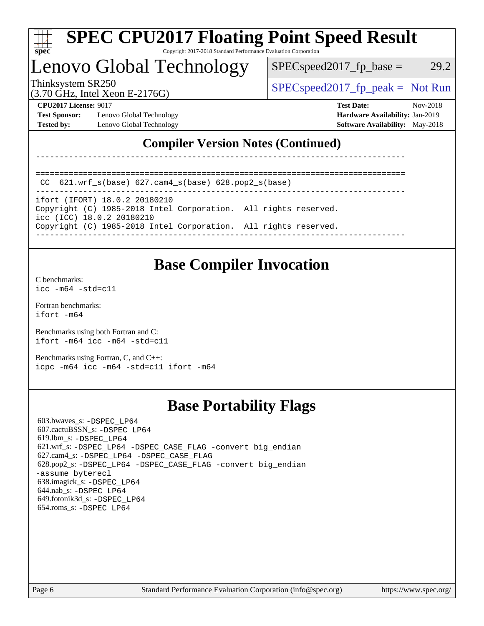

# **[SPEC CPU2017 Floating Point Speed Result](http://www.spec.org/auto/cpu2017/Docs/result-fields.html#SPECCPU2017FloatingPointSpeedResult)**

Copyright 2017-2018 Standard Performance Evaluation Corporation

## Lenovo Global Technology

 $SPEC speed2017_fp\_base = 29.2$ 

(3.70 GHz, Intel Xeon E-2176G)

Thinksystem SR250  $SPEC speed2017_f p_peak = Not Run$ 

**[Test Sponsor:](http://www.spec.org/auto/cpu2017/Docs/result-fields.html#TestSponsor)** Lenovo Global Technology **[Hardware Availability:](http://www.spec.org/auto/cpu2017/Docs/result-fields.html#HardwareAvailability)** Jan-2019 **[Tested by:](http://www.spec.org/auto/cpu2017/Docs/result-fields.html#Testedby)** Lenovo Global Technology **[Software Availability:](http://www.spec.org/auto/cpu2017/Docs/result-fields.html#SoftwareAvailability)** May-2018

**[CPU2017 License:](http://www.spec.org/auto/cpu2017/Docs/result-fields.html#CPU2017License)** 9017 **[Test Date:](http://www.spec.org/auto/cpu2017/Docs/result-fields.html#TestDate)** Nov-2018

### **[Compiler Version Notes \(Continued\)](http://www.spec.org/auto/cpu2017/Docs/result-fields.html#CompilerVersionNotes)**

------------------------------------------------------------------------------

```
 CC 621.wrf_s(base) 627.cam4_s(base) 628.pop2_s(base)
```
----------------------------------------------------------------------------- ifort (IFORT) 18.0.2 20180210 Copyright (C) 1985-2018 Intel Corporation. All rights reserved. icc (ICC) 18.0.2 20180210 Copyright (C) 1985-2018 Intel Corporation. All rights reserved. ------------------------------------------------------------------------------

==============================================================================

## **[Base Compiler Invocation](http://www.spec.org/auto/cpu2017/Docs/result-fields.html#BaseCompilerInvocation)**

[C benchmarks](http://www.spec.org/auto/cpu2017/Docs/result-fields.html#Cbenchmarks): [icc -m64 -std=c11](http://www.spec.org/cpu2017/results/res2018q4/cpu2017-20181126-09890.flags.html#user_CCbase_intel_icc_64bit_c11_33ee0cdaae7deeeab2a9725423ba97205ce30f63b9926c2519791662299b76a0318f32ddfffdc46587804de3178b4f9328c46fa7c2b0cd779d7a61945c91cd35)

[Fortran benchmarks](http://www.spec.org/auto/cpu2017/Docs/result-fields.html#Fortranbenchmarks): [ifort -m64](http://www.spec.org/cpu2017/results/res2018q4/cpu2017-20181126-09890.flags.html#user_FCbase_intel_ifort_64bit_24f2bb282fbaeffd6157abe4f878425411749daecae9a33200eee2bee2fe76f3b89351d69a8130dd5949958ce389cf37ff59a95e7a40d588e8d3a57e0c3fd751)

[Benchmarks using both Fortran and C](http://www.spec.org/auto/cpu2017/Docs/result-fields.html#BenchmarksusingbothFortranandC): [ifort -m64](http://www.spec.org/cpu2017/results/res2018q4/cpu2017-20181126-09890.flags.html#user_CC_FCbase_intel_ifort_64bit_24f2bb282fbaeffd6157abe4f878425411749daecae9a33200eee2bee2fe76f3b89351d69a8130dd5949958ce389cf37ff59a95e7a40d588e8d3a57e0c3fd751) [icc -m64 -std=c11](http://www.spec.org/cpu2017/results/res2018q4/cpu2017-20181126-09890.flags.html#user_CC_FCbase_intel_icc_64bit_c11_33ee0cdaae7deeeab2a9725423ba97205ce30f63b9926c2519791662299b76a0318f32ddfffdc46587804de3178b4f9328c46fa7c2b0cd779d7a61945c91cd35)

[Benchmarks using Fortran, C, and C++:](http://www.spec.org/auto/cpu2017/Docs/result-fields.html#BenchmarksusingFortranCandCXX) [icpc -m64](http://www.spec.org/cpu2017/results/res2018q4/cpu2017-20181126-09890.flags.html#user_CC_CXX_FCbase_intel_icpc_64bit_4ecb2543ae3f1412ef961e0650ca070fec7b7afdcd6ed48761b84423119d1bf6bdf5cad15b44d48e7256388bc77273b966e5eb805aefd121eb22e9299b2ec9d9) [icc -m64 -std=c11](http://www.spec.org/cpu2017/results/res2018q4/cpu2017-20181126-09890.flags.html#user_CC_CXX_FCbase_intel_icc_64bit_c11_33ee0cdaae7deeeab2a9725423ba97205ce30f63b9926c2519791662299b76a0318f32ddfffdc46587804de3178b4f9328c46fa7c2b0cd779d7a61945c91cd35) [ifort -m64](http://www.spec.org/cpu2017/results/res2018q4/cpu2017-20181126-09890.flags.html#user_CC_CXX_FCbase_intel_ifort_64bit_24f2bb282fbaeffd6157abe4f878425411749daecae9a33200eee2bee2fe76f3b89351d69a8130dd5949958ce389cf37ff59a95e7a40d588e8d3a57e0c3fd751)

## **[Base Portability Flags](http://www.spec.org/auto/cpu2017/Docs/result-fields.html#BasePortabilityFlags)**

 603.bwaves\_s: [-DSPEC\\_LP64](http://www.spec.org/cpu2017/results/res2018q4/cpu2017-20181126-09890.flags.html#suite_basePORTABILITY603_bwaves_s_DSPEC_LP64) 607.cactuBSSN\_s: [-DSPEC\\_LP64](http://www.spec.org/cpu2017/results/res2018q4/cpu2017-20181126-09890.flags.html#suite_basePORTABILITY607_cactuBSSN_s_DSPEC_LP64) 619.lbm\_s: [-DSPEC\\_LP64](http://www.spec.org/cpu2017/results/res2018q4/cpu2017-20181126-09890.flags.html#suite_basePORTABILITY619_lbm_s_DSPEC_LP64) 621.wrf\_s: [-DSPEC\\_LP64](http://www.spec.org/cpu2017/results/res2018q4/cpu2017-20181126-09890.flags.html#suite_basePORTABILITY621_wrf_s_DSPEC_LP64) [-DSPEC\\_CASE\\_FLAG](http://www.spec.org/cpu2017/results/res2018q4/cpu2017-20181126-09890.flags.html#b621.wrf_s_baseCPORTABILITY_DSPEC_CASE_FLAG) [-convert big\\_endian](http://www.spec.org/cpu2017/results/res2018q4/cpu2017-20181126-09890.flags.html#user_baseFPORTABILITY621_wrf_s_convert_big_endian_c3194028bc08c63ac5d04de18c48ce6d347e4e562e8892b8bdbdc0214820426deb8554edfa529a3fb25a586e65a3d812c835984020483e7e73212c4d31a38223) 627.cam4\_s: [-DSPEC\\_LP64](http://www.spec.org/cpu2017/results/res2018q4/cpu2017-20181126-09890.flags.html#suite_basePORTABILITY627_cam4_s_DSPEC_LP64) [-DSPEC\\_CASE\\_FLAG](http://www.spec.org/cpu2017/results/res2018q4/cpu2017-20181126-09890.flags.html#b627.cam4_s_baseCPORTABILITY_DSPEC_CASE_FLAG) 628.pop2\_s: [-DSPEC\\_LP64](http://www.spec.org/cpu2017/results/res2018q4/cpu2017-20181126-09890.flags.html#suite_basePORTABILITY628_pop2_s_DSPEC_LP64) [-DSPEC\\_CASE\\_FLAG](http://www.spec.org/cpu2017/results/res2018q4/cpu2017-20181126-09890.flags.html#b628.pop2_s_baseCPORTABILITY_DSPEC_CASE_FLAG) [-convert big\\_endian](http://www.spec.org/cpu2017/results/res2018q4/cpu2017-20181126-09890.flags.html#user_baseFPORTABILITY628_pop2_s_convert_big_endian_c3194028bc08c63ac5d04de18c48ce6d347e4e562e8892b8bdbdc0214820426deb8554edfa529a3fb25a586e65a3d812c835984020483e7e73212c4d31a38223) [-assume byterecl](http://www.spec.org/cpu2017/results/res2018q4/cpu2017-20181126-09890.flags.html#user_baseFPORTABILITY628_pop2_s_assume_byterecl_7e47d18b9513cf18525430bbf0f2177aa9bf368bc7a059c09b2c06a34b53bd3447c950d3f8d6c70e3faf3a05c8557d66a5798b567902e8849adc142926523472) 638.imagick\_s: [-DSPEC\\_LP64](http://www.spec.org/cpu2017/results/res2018q4/cpu2017-20181126-09890.flags.html#suite_basePORTABILITY638_imagick_s_DSPEC_LP64) 644.nab\_s: [-DSPEC\\_LP64](http://www.spec.org/cpu2017/results/res2018q4/cpu2017-20181126-09890.flags.html#suite_basePORTABILITY644_nab_s_DSPEC_LP64) 649.fotonik3d\_s: [-DSPEC\\_LP64](http://www.spec.org/cpu2017/results/res2018q4/cpu2017-20181126-09890.flags.html#suite_basePORTABILITY649_fotonik3d_s_DSPEC_LP64) 654.roms\_s: [-DSPEC\\_LP64](http://www.spec.org/cpu2017/results/res2018q4/cpu2017-20181126-09890.flags.html#suite_basePORTABILITY654_roms_s_DSPEC_LP64)